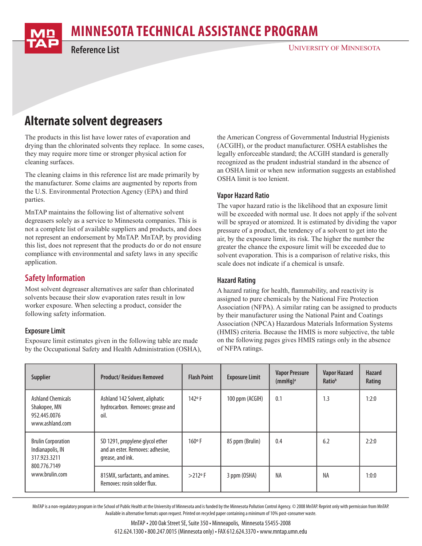# **MINNESOTA TECHNICAL ASSISTANCE PROGRAM**



**Reference List**

#### UNIVERSITY OF MINNESOTA

## **Alternate solvent degreasers**

The products in this list have lower rates of evaporation and drying than the chlorinated solvents they replace. In some cases, they may require more time or stronger physical action for cleaning surfaces.

The cleaning claims in this reference list are made primarily by the manufacturer. Some claims are augmented by reports from the U.S. Environmental Protection Agency (EPA) and third parties.

MnTAP maintains the following list of alternative solvent degreasers solely as a service to Minnesota companies. This is not a complete list of available suppliers and products, and does not represent an endorsement by MnTAP. MnTAP, by providing this list, does not represent that the products do or do not ensure compliance with environmental and safety laws in any specific application.

## **Safety Information**

Most solvent degreaser alternatives are safer than chlorinated solvents because their slow evaporation rates result in low worker exposure. When selecting a product, consider the following safety information.

#### **Exposure Limit**

Exposure limit estimates given in the following table are made by the Occupational Safety and Health Administration (OSHA), the American Congress of Governmental Industrial Hygienists (ACGIH), or the product manufacturer. OSHA establishes the legally enforceable standard; the ACGIH standard is generally recognized as the prudent industrial standard in the absence of an OSHA limit or when new information suggests an established OSHA limit is too lenient.

#### **Vapor Hazard Ratio**

The vapor hazard ratio is the likelihood that an exposure limit will be exceeded with normal use. It does not apply if the solvent will be sprayed or atomized. It is estimated by dividing the vapor pressure of a product, the tendency of a solvent to get into the air, by the exposure limit, its risk. The higher the number the greater the chance the exposure limit will be exceeded due to solvent evaporation. This is a comparison of relative risks, this scale does not indicate if a chemical is unsafe.

#### **Hazard Rating**

A hazard rating for health, flammability, and reactivity is assigned to pure chemicals by the National Fire Protection Association (NFPA). A similar rating can be assigned to products by their manufacturer using the National Paint and Coatings Association (NPCA) Hazardous Materials Information Systems (HMIS) criteria. Because the HMIS is more subjective, the table on the following pages gives HMIS ratings only in the absence of NFPA ratings.

| <b>Supplier</b>                                                                                 | <b>Product/Residues Removed</b>                                                         | <b>Flash Point</b> | <b>Exposure Limit</b> | <b>Vapor Pressure</b><br>$(mmHq)^a$ | <b>Vapor Hazard</b><br><b>Ratio</b> <sup>b</sup> | <b>Hazard</b><br>Rating |
|-------------------------------------------------------------------------------------------------|-----------------------------------------------------------------------------------------|--------------------|-----------------------|-------------------------------------|--------------------------------------------------|-------------------------|
| <b>Ashland Chemicals</b><br>Shakopee, MN<br>952.445.0076<br>www.ashland.com                     | Ashland 142 Solvent, aliphatic<br>hydrocarbon. Removes: grease and<br>oil.              | 142°F              | 100 ppm (ACGIH)       | 0.1                                 | 1.3                                              | 1:2:0                   |
| <b>Brulin Corporation</b><br>Indianapolis, IN<br>317.923.3211<br>800.776.7149<br>www.brulin.com | SD 1291, propylene glycol ether<br>and an ester. Removes: adhesive,<br>grease, and ink. | $160°$ F           | 85 ppm (Brulin)       | 0.4                                 | 6.2                                              | 2:2:0                   |
|                                                                                                 | 815MX, surfactants, and amines.<br>Removes: rosin solder flux.                          | $>212$ °F          | 3 ppm (OSHA)          | NA                                  | <b>NA</b>                                        | 1:0:0                   |

MnTAP is a non-regulatory program in the School of Public Health at the University of Minnesota and is funded by the Minnesota Pollution Control Agency. © 2008 MnTAP. Reprint only with permission from MnTAP. Available in alternative formats upon request. Printed on recycled paper containing a minimum of 10% post-consumer waste.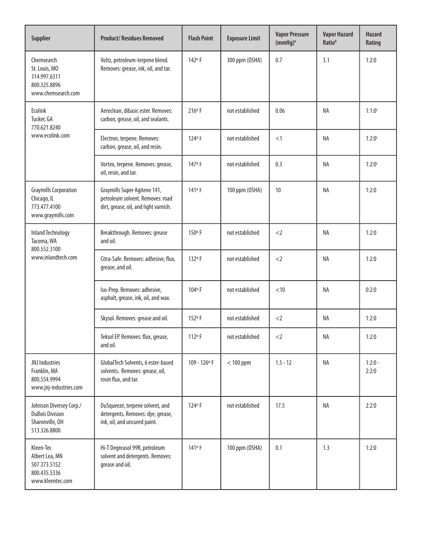| <b>Supplier</b>                                                                                                                                                                  | <b>Product/Residues Removed</b>                                                                                                          | <b>Flash Point</b> | <b>Exposure Limit</b> | <b>Vapor Pressure</b><br>(mmHg) <sup>a</sup> | <b>Vapor Hazard</b><br>Ratio <sup>b</sup> | <b>Hazard</b><br>Rating |
|----------------------------------------------------------------------------------------------------------------------------------------------------------------------------------|------------------------------------------------------------------------------------------------------------------------------------------|--------------------|-----------------------|----------------------------------------------|-------------------------------------------|-------------------------|
| Chemsearch<br>St. Louis, MO<br>314.997.6311<br>800.325.8896<br>www.chemsearch.com                                                                                                | Voltz, petroleum-terpene blend.<br>Removes: grease, ink, oil, and tar.                                                                   | 142°F              | 300 ppm (OSHA)        | 0.7                                          | 3.1                                       | 1:2:0                   |
| Ecolink<br>Tucker, GA<br>770.621.8240<br>www.ecolink.com                                                                                                                         | Aeroclean, dibasic ester. Removes:<br>carbon, grease, oil, and sealants.                                                                 | $216°$ F           | not established       | 0.06                                         | <b>NA</b>                                 | $1:1:0^c$               |
|                                                                                                                                                                                  | Electron, terpene. Removes:<br>carbon, grease, oil, and resin.                                                                           | 124°F              | not established       | <1                                           | NA                                        | $1:2:0^c$               |
|                                                                                                                                                                                  | Vortex, terpene. Removes: grease,<br>oil, resin, and tar.                                                                                | 147°F              | not established       | 0.3                                          | <b>NA</b>                                 | $1:2:0^c$               |
| <b>Graymills Corporation</b><br>Chicago, IL<br>773.477.4100<br>www.graymills.com                                                                                                 | Graymills Super Agitene 141,<br>petroleum solvent. Removes: road<br>dirt, grease, oil, and light varnish.                                | 141 <sup>o</sup> F | 100 ppm (OSHA)        | 10                                           | <b>NA</b><br>ΝA                           |                         |
| <b>Inland Technology</b><br>Tacoma, WA<br>800.552.3100                                                                                                                           | Breakthrough. Removes: grease<br>and oil.                                                                                                | 150°F              | not established       | $<$ 2                                        |                                           | 1:2:0                   |
| www.inlandtech.com                                                                                                                                                               | Citra-Safe. Removes: adhesive, flux,<br>grease, and oil.                                                                                 | 132°F              | not established       | $<$ 2                                        | ΝA                                        | 1:2:0                   |
|                                                                                                                                                                                  | Iso-Prep. Removes: adhesive,<br>asphalt, grease, ink, oil, and wax.                                                                      | 104°F              | not established       | $<$ 10                                       | <b>NA</b>                                 | 0:2:0                   |
|                                                                                                                                                                                  | Skysol. Removes: grease and oil.                                                                                                         | 152°F              | not established       | $<$ 2                                        | NA                                        | 1:2:0                   |
|                                                                                                                                                                                  | Teksol EP. Removes: flux, grease,<br>and oil.                                                                                            | 112°F              | not established       | $<$ 2                                        | NA                                        | 1:2:0                   |
| JNJ Industries<br>Franklin, MA<br>800.554.9994<br>www.jnj-industries.com                                                                                                         | GlobalTech Solvents, 6 ester-based<br>solvents. Removes: grease, oil,<br>rosin flux, and tar.                                            | $109 - 126$ °F     | $<$ 100 ppm           | $1.5 - 12$                                   | NA                                        | $1:2:0 -$<br>2:2:0      |
| Johnson Diversey Corp./<br><b>DuBois Division</b><br>Sharonville, OH<br>513.326.8800                                                                                             | 124°F<br>DuSqueeze, terpene solvent, and<br>not established<br>17.5<br>detergents. Removes: dye, grease,<br>ink, oil, and uncured paint. |                    |                       | ΝA                                           | 2:2:0                                     |                         |
| 141°F<br>Kleen-Tec<br>Hi-T Degreasol 99R, petroleum<br>solvent and detergents. Removes:<br>Albert Lea, MN<br>grease and oil.<br>507.373.5152<br>800.435.5336<br>www.kleentec.com |                                                                                                                                          |                    | 100 ppm (OSHA)        | 0.1                                          | 1.3                                       | 1:2:0                   |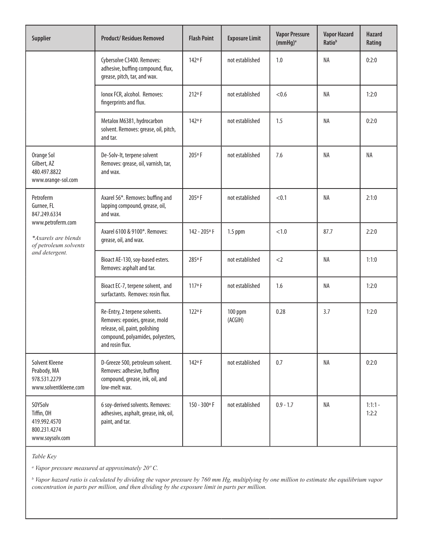| <b>Supplier</b>                                                                                                                | <b>Vapor Pressure</b><br><b>Product/Residues Removed</b><br><b>Flash Point</b><br><b>Exposure Limit</b><br>(mmHg) <sup>a</sup>                            |                | <b>Vapor Hazard</b><br>Ratio <sup>b</sup> | <b>Hazard</b><br>Rating |           |                    |
|--------------------------------------------------------------------------------------------------------------------------------|-----------------------------------------------------------------------------------------------------------------------------------------------------------|----------------|-------------------------------------------|-------------------------|-----------|--------------------|
|                                                                                                                                | Cybersolve C3400. Removes:<br>adhesive, buffing compound, flux,<br>grease, pitch, tar, and wax.                                                           | 142°F          | not established                           | 1.0                     | NA        | 0:2:0              |
|                                                                                                                                | lonox FCR, alcohol. Removes:<br>fingerprints and flux.                                                                                                    | 212°F          | not established                           | < 0.6                   | <b>NA</b> | 1:2:0              |
|                                                                                                                                | Metalox M6381, hydrocarbon<br>solvent. Removes: grease, oil, pitch,<br>and tar.                                                                           | 142°F          | not established                           | 1.5                     | NA        | 0:2:0              |
| Orange Sol<br>Gilbert, AZ<br>480.497.8822<br>www.orange-sol.com                                                                | De-Solv-It, terpene solvent<br>Removes: grease, oil, varnish, tar,<br>and wax.                                                                            | 205°F          | not established                           | 7.6                     | NA        | NA                 |
| Petroferm<br>Gurnee, FL<br>847.249.6334<br>www.petroferm.com<br>*Axarels are blends<br>of petroleum solvents<br>and detergent. | Axarel 56*. Removes: buffing and<br>lapping compound, grease, oil,<br>and wax.                                                                            | 205°F          | not established                           | < 0.1                   | <b>NA</b> | 2:1:0              |
|                                                                                                                                | Axarel 6100 & 9100*. Removes:<br>grease, oil, and wax.                                                                                                    | 142 - 205° F   | $1.5$ ppm                                 | < 1.0                   | 87.7      | 2:2:0              |
|                                                                                                                                | Bioact AE-130, soy-based esters.<br>Removes: asphalt and tar.                                                                                             | 285°F          | not established                           | $<$ 2                   | <b>NA</b> | 1:1:0              |
|                                                                                                                                | Bioact EC-7, terpene solvent, and<br>surfactants. Removes: rosin flux.                                                                                    | 117°F          | not established                           | 1.6                     | NA        | 1:2:0              |
|                                                                                                                                | Re-Entry, 2 terpene solvents.<br>Removes: epoxies, grease, mold<br>release, oil, paint, polishing<br>compound, polyamides, polyesters,<br>and rosin flux. | 122°F          | 100 ppm<br>(ACGIH)                        | 0.28                    | 3.7       | 1:2:0              |
| Solvent Kleene<br>Peabody, MA<br>978.531.2279<br>www.solventkleene.com                                                         | D-Greeze 500, petroleum solvent.<br>Removes: adhesive, buffing<br>compound, grease, ink, oil, and<br>low-melt wax.                                        | 142°F          | not established                           | 0.7                     | ΝA        | 0:2:0              |
| SOYSolv<br>Tiffin, OH<br>419.992.4570<br>800.231.4274<br>www.soysolv.com                                                       | 6 soy-derived solvents. Removes:<br>adhesives, asphalt, grease, ink, oil,<br>paint, and tar.                                                              | $150 - 300$ °F | not established                           | $0.9 - 1.7$             | NA        | $1:1:1 -$<br>1:2:2 |

*Table Key*

*a Vapor pressure measured at approximately 20º C.*

*b Vapor hazard ratio is calculated by dividing the vapor pressure by 760 mm Hg, multiplying by one million to estimate the equilibrium vapor concentration in parts per million, and then dividing by the exposure limit in parts per million.*